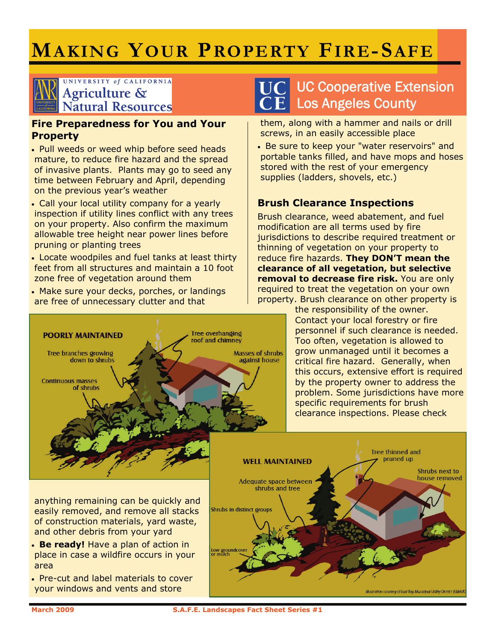# **MAKING YOUR PROPERTY FIRE-SAFE**

#### UNIVERSITY of CALIFORNIA Agriculture & **Natural Resources**

#### **Fire Preparedness for You and Your Property**

- Pull weeds or weed whip before seed heads mature, to reduce fire hazard and the spread of invasive plants. Plants may go to seed any time between February and April, depending on the previous year's weather
- Call your local utility company for a yearly inspection if utility lines conflict with any trees on your property. Also confirm the maximum allowable tree height near power lines before pruning or planting trees

• Locate woodpiles and fuel tanks at least thirty feet from all structures and maintain a 10 foot zone free of vegetation around them

• Make sure your decks, porches, or landings are free of unnecessary clutter and that



## UC Cooperative Extension Los Angeles County

them, along with a hammer and nails or drill screws, in an easily accessible place

• Be sure to keep your "water reservoirs" and portable tanks filled, and have mops and hoses stored with the rest of your emergency supplies (ladders, shovels, etc.)

#### **Brush Clearance Inspections**

Brush clearance, weed abatement, and fuel modification are all terms used by fire jurisdictions to describe required treatment or thinning of vegetation on your property to reduce fire hazards. **They DON'T mean the clearance of all vegetation, but selective removal to decrease fire risk.** You are only required to treat the vegetation on your own property. Brush clearance on other property is

> the responsibility of the owner. Contact your local forestry or fire personnel if such clearance is needed. Too often, vegetation is allowed to grow unmanaged until it becomes a critical fire hazard. Generally, when this occurs, extensive effort is required by the property owner to address the problem. Some jurisdictions have more specific requirements for brush clearance inspections. Please check



anything remaining can be quickly and easily removed, and remove all stacks of construction materials, yard waste, and other debris from your yard

• **Be ready!** Have a plan of action in place in case a wildfire occurs in your area

• Pre-cut and label materials to cover your windows and vents and store